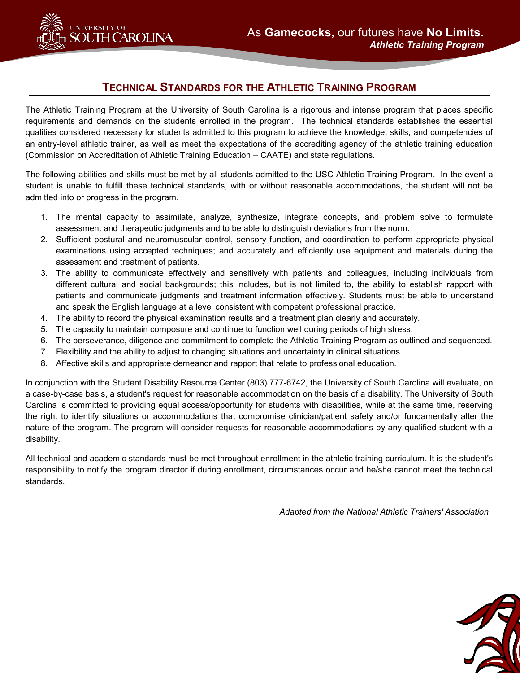

# **TECHNICAL STANDARDS FOR THE ATHLETIC TRAINING PROGRAM**

The Athletic Training Program at the University of South Carolina is a rigorous and intense program that places specific requirements and demands on the students enrolled in the program. The technical standards establishes the essential qualities considered necessary for students admitted to this program to achieve the knowledge, skills, and competencies of an entry-level athletic trainer, as well as meet the expectations of the accrediting agency of the athletic training education (Commission on Accreditation of Athletic Training Education – CAATE) and state regulations.

The following abilities and skills must be met by all students admitted to the USC Athletic Training Program. In the event a student is unable to fulfill these technical standards, with or without reasonable accommodations, the student will not be admitted into or progress in the program.

- 1. The mental capacity to assimilate, analyze, synthesize, integrate concepts, and problem solve to formulate assessment and therapeutic judgments and to be able to distinguish deviations from the norm.
- 2. Sufficient postural and neuromuscular control, sensory function, and coordination to perform appropriate physical examinations using accepted techniques; and accurately and efficiently use equipment and materials during the assessment and treatment of patients.
- 3. The ability to communicate effectively and sensitively with patients and colleagues, including individuals from different cultural and social backgrounds; this includes, but is not limited to, the ability to establish rapport with patients and communicate judgments and treatment information effectively. Students must be able to understand and speak the English language at a level consistent with competent professional practice.
- 4. The ability to record the physical examination results and a treatment plan clearly and accurately.
- 5. The capacity to maintain composure and continue to function well during periods of high stress.
- 6. The perseverance, diligence and commitment to complete the Athletic Training Program as outlined and sequenced.
- 7. Flexibility and the ability to adjust to changing situations and uncertainty in clinical situations.
- 8. Affective skills and appropriate demeanor and rapport that relate to professional education.

In conjunction with the Student Disability Resource Center (803) 777-6742, the University of South Carolina will evaluate, on a case-by-case basis, a student's request for reasonable accommodation on the basis of a disability. The University of South Carolina is committed to providing equal access/opportunity for students with disabilities, while at the same time, reserving the right to identify situations or accommodations that compromise clinician/patient safety and/or fundamentally alter the nature of the program. The program will consider requests for reasonable accommodations by any qualified student with a disability.

All technical and academic standards must be met throughout enrollment in the athletic training curriculum. It is the student's responsibility to notify the program director if during enrollment, circumstances occur and he/she cannot meet the technical standards.

*Adapted from the National Athletic Trainers' Association*